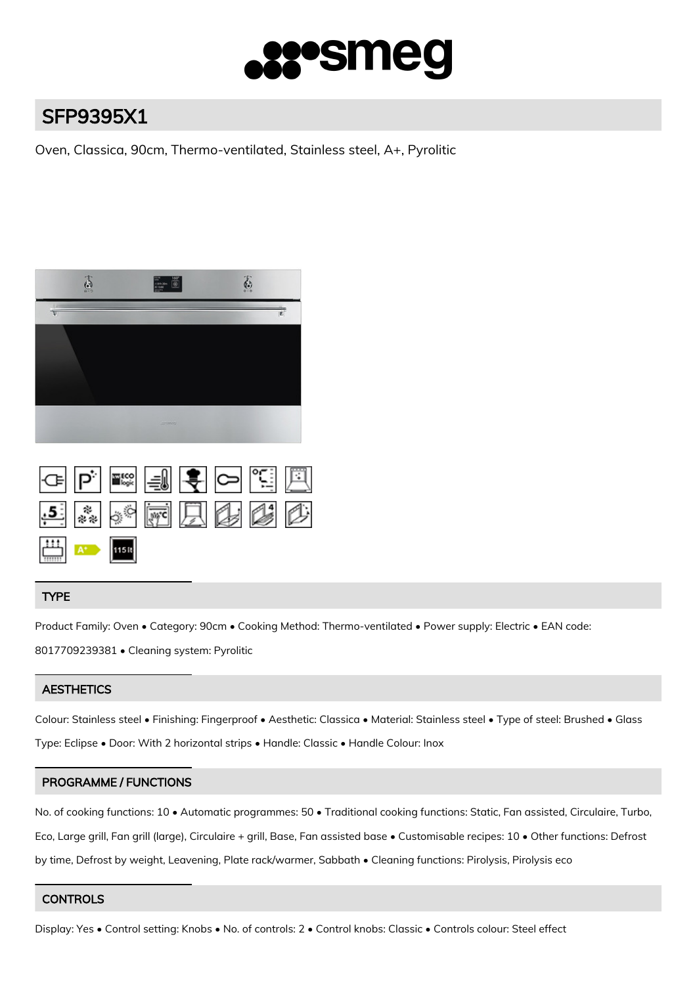

# SFP9395X1

Oven, Classica, 90cm, Thermo-ventilated, Stainless steel, A+, Pyrolitic



|  |                                                               |  | GPF ERE JOFF |  |
|--|---------------------------------------------------------------|--|--------------|--|
|  |                                                               |  | 5 * * 西县华区   |  |
|  | $\begin{array}{ c c }\n\hline\n\text{115R}\n\end{array}$ 115R |  |              |  |

# TYPE

Product Family: Oven • Category: 90cm • Cooking Method: Thermo-ventilated • Power supply: Electric • EAN code: 8017709239381 • Cleaning system: Pyrolitic

# **AESTHETICS**

Colour: Stainless steel • Finishing: Fingerproof • Aesthetic: Classica • Material: Stainless steel • Type of steel: Brushed • Glass Type: Eclipse • Door: With 2 horizontal strips • Handle: Classic • Handle Colour: Inox

# PROGRAMME / FUNCTIONS

No. of cooking functions: 10 • Automatic programmes: 50 • Traditional cooking functions: Static, Fan assisted, Circulaire, Turbo, Eco, Large grill, Fan grill (large), Circulaire + grill, Base, Fan assisted base • Customisable recipes: 10 • Other functions: Defrost by time, Defrost by weight, Leavening, Plate rack/warmer, Sabbath • Cleaning functions: Pirolysis, Pirolysis eco

# **CONTROLS**

Display: Yes • Control setting: Knobs • No. of controls: 2 • Control knobs: Classic • Controls colour: Steel effect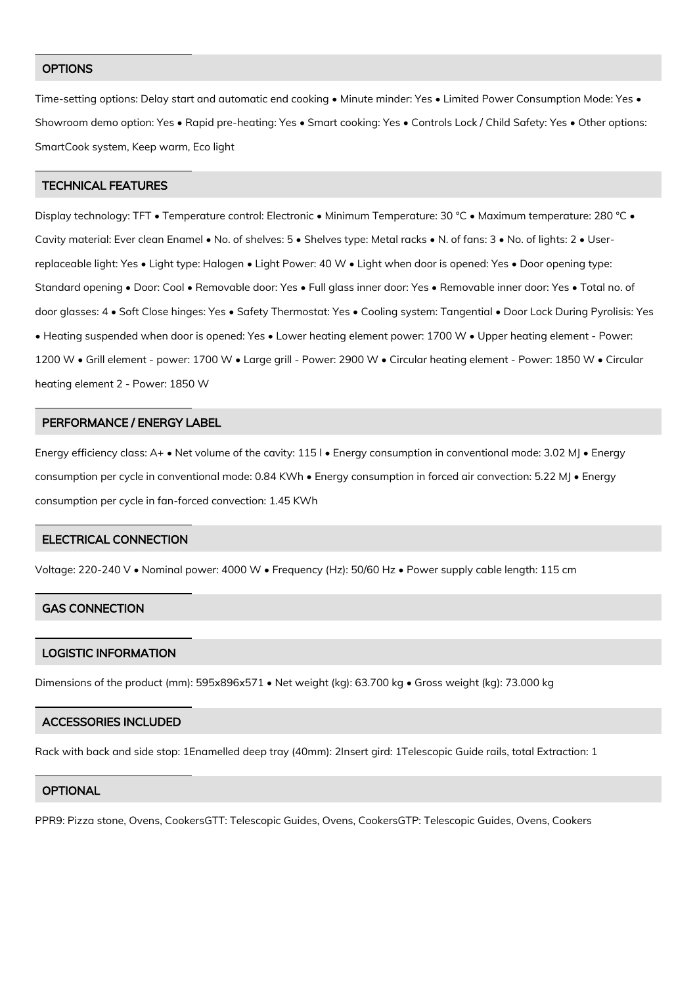## **OPTIONS**

Time-setting options: Delay start and automatic end cooking • Minute minder: Yes • Limited Power Consumption Mode: Yes • Showroom demo option: Yes • Rapid pre-heating: Yes • Smart cooking: Yes • Controls Lock / Child Safety: Yes • Other options: SmartCook system, Keep warm, Eco light

## TECHNICAL FEATURES

Display technology: TFT • Temperature control: Electronic • Minimum Temperature: 30 °C • Maximum temperature: 280 °C • Cavity material: Ever clean Enamel • No. of shelves: 5 • Shelves type: Metal racks • N. of fans: 3 • No. of lights: 2 • Userreplaceable light: Yes • Light type: Halogen • Light Power: 40 W • Light when door is opened: Yes • Door opening type: Standard opening • Door: Cool • Removable door: Yes • Full glass inner door: Yes • Removable inner door: Yes • Total no. of door glasses: 4 • Soft Close hinges: Yes • Safety Thermostat: Yes • Cooling system: Tangential • Door Lock During Pyrolisis: Yes • Heating suspended when door is opened: Yes • Lower heating element power: 1700 W • Upper heating element - Power: 1200 W • Grill element - power: 1700 W • Large grill - Power: 2900 W • Circular heating element - Power: 1850 W • Circular heating element 2 - Power: 1850 W

#### PERFORMANCE / ENERGY LABEL

Energy efficiency class: A+ • Net volume of the cavity: 115 l • Energy consumption in conventional mode: 3.02 MJ • Energy consumption per cycle in conventional mode: 0.84 KWh • Energy consumption in forced air convection: 5.22 MJ • Energy consumption per cycle in fan-forced convection: 1.45 KWh

#### ELECTRICAL CONNECTION

Voltage: 220-240 V • Nominal power: 4000 W • Frequency (Hz): 50/60 Hz • Power supply cable length: 115 cm

## GAS CONNECTION

## LOGISTIC INFORMATION

Dimensions of the product (mm): 595x896x571 • Net weight (kg): 63.700 kg • Gross weight (kg): 73.000 kg

### ACCESSORIES INCLUDED

Rack with back and side stop: 1Enamelled deep tray (40mm): 2Insert gird: 1Telescopic Guide rails, total Extraction: 1

#### **OPTIONAL**

PPR9: Pizza stone, Ovens, CookersGTT: Telescopic Guides, Ovens, CookersGTP: Telescopic Guides, Ovens, Cookers